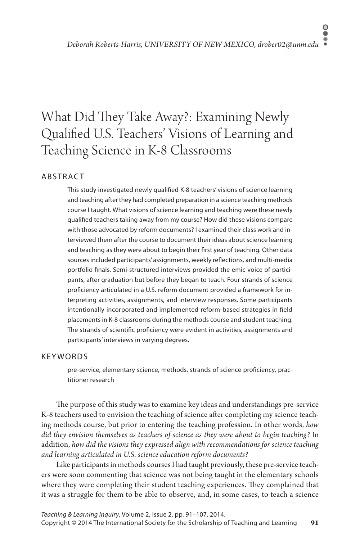## $\circ$ ŏ

# What Did They Take Away?: Examining Newly Qualified U.S. Teachers' Visions of Learning and Teaching Science in K-8 Classrooms

## **ABSTRACT**

This study investigated newly qualified K-8 teachers' visions of science learning and teaching after they had completed preparation in a science teaching methods course I taught. What visions of science learning and teaching were these newly qualified teachers taking away from my course? How did these visions compare with those advocated by reform documents? I examined their class work and interviewed them after the course to document their ideas about science learning and teaching as they were about to begin their first year of teaching. Other data sources included participants' assignments, weekly reflections, and multi-media portfolio finals. Semi-structured interviews provided the emic voice of participants, after graduation but before they began to teach. Four strands of science proficiency articulated in a U.S. reform document provided a framework for interpreting activities, assignments, and interview responses. Some participants intentionally incorporated and implemented reform-based strategies in field placements in K-8 classrooms during the methods course and student teaching. The strands of scientific proficiency were evident in activities, assignments and participants' interviews in varying degrees.

## **KEYWORDS**

pre-service, elementary science, methods, strands of science proficiency, practitioner research

The purpose of this study was to examine key ideas and understandings pre-service K-8 teachers used to envision the teaching of science after completing my science teaching methods course, but prior to entering the teaching profession. In other words, *how did they envision themselves as teachers of science as they were about to begin teaching?* In addition, *how did the visions they expressed align with recommendations for science teaching and learning articulated in U.S. science education reform documents?*

Like participants in methods courses I had taught previously, these pre-service teachers were soon commenting that science was not being taught in the elementary schools where they were completing their student teaching experiences. They complained that it was a struggle for them to be able to observe, and, in some cases, to teach a science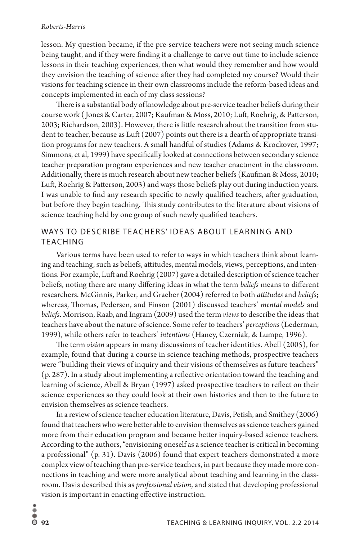lesson. My question became, if the pre-service teachers were not seeing much science being taught, and if they were finding it a challenge to carve out time to include science lessons in their teaching experiences, then what would they remember and how would they envision the teaching of science after they had completed my course? Would their visions for teaching science in their own classrooms include the reform-based ideas and concepts implemented in each of my class sessions?

There is a substantial body of knowledge about pre-service teacher beliefs during their course work ( Jones & Carter, 2007; Kaufman & Moss, 2010; Luft, Roehrig, & Patterson, 2003; Richardson, 2003). However, there is little research about the transition from student to teacher, because as Luft (2007) points out there is a dearth of appropriate transition programs for new teachers. A small handful of studies (Adams & Krockover, 1997; Simmons, et al, 1999) have specifically looked at connections between secondary science teacher preparation program experiences and new teacher enactment in the classroom. Additionally, there is much research about new teacher beliefs (Kaufman & Moss, 2010; Luft, Roehrig & Patterson, 2003) and ways those beliefs play out during induction years. I was unable to find any research specific to newly qualified teachers, after graduation, but before they begin teaching. This study contributes to the literature about visions of science teaching held by one group of such newly qualified teachers.

## WAYS TO DESCRIBE TEACHERS' IDEAS ABOUT LEARNING AND TEACHING

Various terms have been used to refer to ways in which teachers think about learning and teaching, such as beliefs, attitudes, mental models, views, perceptions, and intentions. For example, Luft and Roehrig (2007) gave a detailed description of science teacher beliefs, noting there are many differing ideas in what the term *beliefs* means to different researchers. McGinnis, Parker, and Graeber (2004) referred to both *attitudes* and *beliefs*; whereas, Thomas, Pedersen, and Finson (2001) discussed teachers' *mental models* and *beliefs*. Morrison, Raab, and Ingram (2009) used the term *views* to describe the ideas that teachers have about the nature of science. Some refer to teachers' *perceptions* (Lederman, 1999), while others refer to teachers' *intentions* (Haney, Czerniak, & Lumpe, 1996).

The term *vision* appears in many discussions of teacher identities. Abell (2005), for example, found that during a course in science teaching methods, prospective teachers were "building their views of inquiry and their visions of themselves as future teachers" (p. 287). In a study about implementing a reflective orientation toward the teaching and learning of science, Abell & Bryan (1997) asked prospective teachers to reflect on their science experiences so they could look at their own histories and then to the future to envision themselves as science teachers.

In a review of science teacher education literature, Davis, Petish, and Smithey (2006) found that teachers who were better able to envision themselves as science teachers gained more from their education program and became better inquiry-based science teachers. According to the authors, "envisioning oneself as a science teacher is critical in becoming a professional" (p. 31). Davis (2006) found that expert teachers demonstrated a more complex view of teaching than pre-service teachers, in part because they made more connections in teaching and were more analytical about teaching and learning in the classroom. Davis described this as *professional vision*, and stated that developing professional vision is important in enacting effective instruction.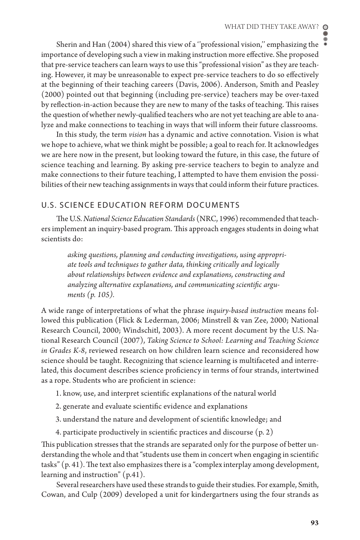Sherin and Han (2004) shared this view of a "professional vision," emphasizing the importance of developing such a view in making instruction more effective. She proposed that pre-service teachers can learn ways to use this "professional vision" as they are teaching. However, it may be unreasonable to expect pre-service teachers to do so effectively at the beginning of their teaching careers (Davis, 2006). Anderson, Smith and Peasley (2000) pointed out that beginning (including pre-service) teachers may be over-taxed by reflection-in-action because they are new to many of the tasks of teaching. This raises the question of whether newly-qualified teachers who are not yet teaching are able to analyze and make connections to teaching in ways that will inform their future classrooms.

In this study, the term *vision* has a dynamic and active connotation. Vision is what we hope to achieve, what we think might be possible; a goal to reach for. It acknowledges we are here now in the present, but looking toward the future, in this case, the future of science teaching and learning. By asking pre-service teachers to begin to analyze and make connections to their future teaching, I attempted to have them envision the possibilities of their new teaching assignments in ways that could inform their future practices.

## U.S. SCIENCE EDUCATION REFORM DOCUMENTS

The U.S. *National Science Education Standards* (NRC, 1996) recommended that teachers implement an inquiry-based program. This approach engages students in doing what scientists do:

*asking questions, planning and conducting investigations, using appropriate tools and techniques to gather data, thinking critically and logically about relationships between evidence and explanations, constructing and analyzing alternative explanations, and communicating scientific arguments (p. 105).* 

A wide range of interpretations of what the phrase *inquiry-based instruction* means followed this publication (Flick & Lederman, 2006; Minstrell & van Zee, 2000; National Research Council, 2000; Windschitl, 2003). A more recent document by the U.S. National Research Council (2007), *Taking Science to School: Learning and Teaching Science in Grades K-8*, reviewed research on how children learn science and reconsidered how science should be taught. Recognizing that science learning is multifaceted and interrelated, this document describes science proficiency in terms of four strands, intertwined as a rope. Students who are proficient in science:

- 1. know, use, and interpret scientific explanations of the natural world
- 2. generate and evaluate scientific evidence and explanations
- 3. understand the nature and development of scientific knowledge; and
- 4. participate productively in scientific practices and discourse (p. 2)

This publication stresses that the strands are separated only for the purpose of better understanding the whole and that "students use them in concert when engaging in scientific tasks" (p. 41). The text also emphasizes there is a "complex interplay among development, learning and instruction" (p.41).

Several researchers have used these strands to guide their studies. For example, Smith, Cowan, and Culp (2009) developed a unit for kindergartners using the four strands as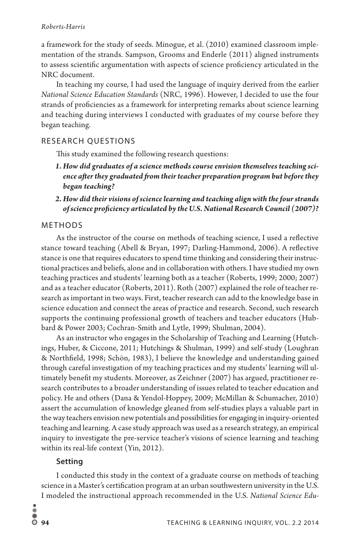a framework for the study of seeds. Minogue, et al. (2010) examined classroom implementation of the strands. Sampson, Grooms and Enderle (2011) aligned instruments to assess scientific argumentation with aspects of science proficiency articulated in the NRC document.

In teaching my course, I had used the language of inquiry derived from the earlier *National Science Education Standards* (NRC, 1996). However, I decided to use the four strands of proficiencies as a framework for interpreting remarks about science learning and teaching during interviews I conducted with graduates of my course before they began teaching.

## RESEARCH QUESTIONS

This study examined the following research questions:

- *1. How did graduates of a science methods course envision themselves teaching science after they graduated from their teacher preparation program but before they began teaching?*
- *2. How did their visions of science learning and teaching align with the four strands of science proficiency articulated by the U.S. National Research Council (2007)?*

#### METHODS

As the instructor of the course on methods of teaching science, I used a reflective stance toward teaching (Abell & Bryan, 1997; Darling-Hammond, 2006). A reflective stance is one that requires educators to spend time thinking and considering their instructional practices and beliefs, alone and in collaboration with others. I have studied my own teaching practices and students' learning both as a teacher (Roberts, 1999; 2000; 2007) and as a teacher educator (Roberts, 2011). Roth (2007) explained the role of teacher research as important in two ways. First, teacher research can add to the knowledge base in science education and connect the areas of practice and research. Second, such research supports the continuing professional growth of teachers and teacher educators (Hubbard & Power 2003; Cochran-Smith and Lytle, 1999; Shulman, 2004).

As an instructor who engages in the Scholarship of Teaching and Learning (Hutchings, Huber, & Ciccone, 2011; Hutchings & Shulman, 1999) and self-study (Loughran & Northfield, 1998; Schön, 1983), I believe the knowledge and understanding gained through careful investigation of my teaching practices and my students' learning will ultimately benefit my students. Moreover, as Zeichner (2007) has argued, practitioner research contributes to a broader understanding of issues related to teacher education and policy. He and others (Dana & Yendol-Hoppey, 2009; McMillan & Schumacher, 2010) assert the accumulation of knowledge gleaned from self-studies plays a valuable part in the way teachers envision new potentials and possibilities for engaging in inquiry-oriented teaching and learning. A case study approach was used as a research strategy, an empirical inquiry to investigate the pre-service teacher's visions of science learning and teaching within its real-life context (Yin, 2012).

#### **Setting**

I conducted this study in the context of a graduate course on methods of teaching science in a Master's certification program at an urban southwestern university in the U.S. I modeled the instructional approach recommended in the U.S. *National Science Edu-*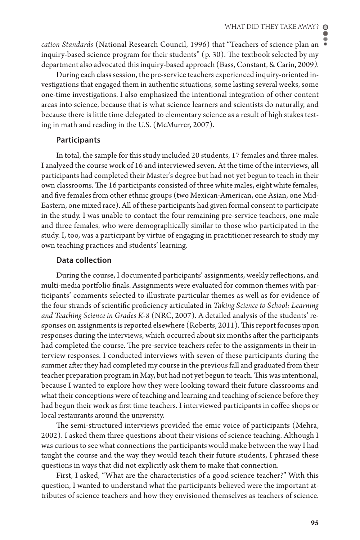*cation Standards* (National Research Council, 1996) that "Teachers of science plan an inquiry-based science program for their students"  $(p, 30)$ . The textbook selected by my department also advocated this inquiry-based approach (Bass, Constant, & Carin, 2009*).*

During each class session, the pre-service teachers experienced inquiry-oriented investigations that engaged them in authentic situations, some lasting several weeks, some one-time investigations. I also emphasized the intentional integration of other content areas into science, because that is what science learners and scientists do naturally, and because there is little time delegated to elementary science as a result of high stakes testing in math and reading in the U.S. (McMurrer, 2007).

#### **Participants**

In total, the sample for this study included 20 students, 17 females and three males. I analyzed the course work of 16 and interviewed seven. At the time of the interviews, all participants had completed their Master's degree but had not yet begun to teach in their own classrooms. The 16 participants consisted of three white males, eight white females, and five females from other ethnic groups (two Mexican-American, one Asian, one Mid-Eastern, one mixed race). All of these participants had given formal consent to participate in the study. I was unable to contact the four remaining pre-service teachers, one male and three females, who were demographically similar to those who participated in the study. I, too, was a participant by virtue of engaging in practitioner research to study my own teaching practices and students' learning.

## **Data collection**

During the course, I documented participants' assignments, weekly reflections, and multi-media portfolio finals. Assignments were evaluated for common themes with participants' comments selected to illustrate particular themes as well as for evidence of the four strands of scientific proficiency articulated in *Taking Science to School: Learning and Teaching Science in Grades K-8* (NRC, 2007). A detailed analysis of the students' responses on assignments is reported elsewhere (Roberts, 2011). This report focuses upon responses during the interviews, which occurred about six months after the participants had completed the course. The pre-service teachers refer to the assignments in their interview responses. I conducted interviews with seven of these participants during the summer after they had completed my course in the previous fall and graduated from their teacher preparation program in May, but had not yet begun to teach. This was intentional, because I wanted to explore how they were looking toward their future classrooms and what their conceptions were of teaching and learning and teaching of science before they had begun their work as first time teachers. I interviewed participants in coffee shops or local restaurants around the university.

The semi-structured interviews provided the emic voice of participants (Mehra, 2002). I asked them three questions about their visions of science teaching. Although I was curious to see what connections the participants would make between the way I had taught the course and the way they would teach their future students, I phrased these questions in ways that did not explicitly ask them to make that connection.

First, I asked, "What are the characteristics of a good science teacher?" With this question, I wanted to understand what the participants believed were the important attributes of science teachers and how they envisioned themselves as teachers of science.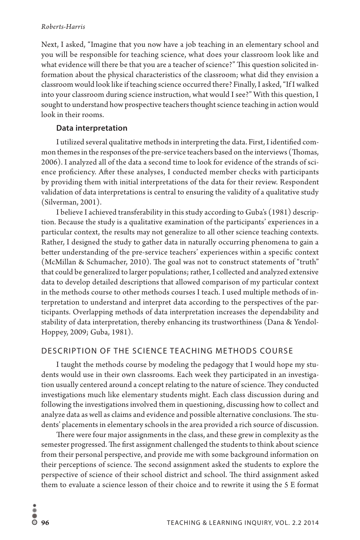Next, I asked, "Imagine that you now have a job teaching in an elementary school and you will be responsible for teaching science, what does your classroom look like and what evidence will there be that you are a teacher of science?" This question solicited information about the physical characteristics of the classroom; what did they envision a classroom would look like if teaching science occurred there? Finally, I asked, "If I walked into your classroom during science instruction, what would I see?" With this question, I sought to understand how prospective teachers thought science teaching in action would look in their rooms.

#### **Data interpretation**

I utilized several qualitative methods in interpreting the data. First, I identified common themes in the responses of the pre-service teachers based on the interviews (Thomas, 2006). I analyzed all of the data a second time to look for evidence of the strands of science proficiency. After these analyses, I conducted member checks with participants by providing them with initial interpretations of the data for their review. Respondent validation of data interpretations is central to ensuring the validity of a qualitative study (Silverman, 2001).

I believe I achieved transferability in this study according to Guba's (1981) description. Because the study is a qualitative examination of the participants' experiences in a particular context, the results may not generalize to all other science teaching contexts. Rather, I designed the study to gather data in naturally occurring phenomena to gain a better understanding of the pre-service teachers' experiences within a specific context (McMillan & Schumacher, 2010). The goal was not to construct statements of "truth" that could be generalized to larger populations; rather, I collected and analyzed extensive data to develop detailed descriptions that allowed comparison of my particular context in the methods course to other methods courses I teach. I used multiple methods of interpretation to understand and interpret data according to the perspectives of the participants. Overlapping methods of data interpretation increases the dependability and stability of data interpretation, thereby enhancing its trustworthiness (Dana & Yendol-Hoppey, 2009; Guba, 1981).

## DESCRIPTION OF THE SCIENCE TEACHING METHODS COURSE

I taught the methods course by modeling the pedagogy that I would hope my students would use in their own classrooms. Each week they participated in an investigation usually centered around a concept relating to the nature of science. They conducted investigations much like elementary students might. Each class discussion during and following the investigations involved them in questioning, discussing how to collect and analyze data as well as claims and evidence and possible alternative conclusions. The students' placements in elementary schools in the area provided a rich source of discussion.

There were four major assignments in the class, and these grew in complexity as the semester progressed. The first assignment challenged the students to think about science from their personal perspective, and provide me with some background information on their perceptions of science. The second assignment asked the students to explore the perspective of science of their school district and school. The third assignment asked them to evaluate a science lesson of their choice and to rewrite it using the 5 E format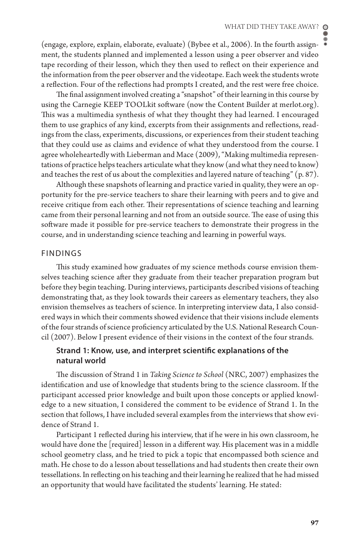(engage, explore, explain, elaborate, evaluate) (Bybee et al., 2006). In the fourth assignment, the students planned and implemented a lesson using a peer observer and video tape recording of their lesson, which they then used to reflect on their experience and the information from the peer observer and the videotape. Each week the students wrote a reflection. Four of the reflections had prompts I created, and the rest were free choice.

The final assignment involved creating a "snapshot" of their learning in this course by using the Carnegie KEEP TOOLkit software (now the Content Builder at merlot.org). This was a multimedia synthesis of what they thought they had learned. I encouraged them to use graphics of any kind, excerpts from their assignments and reflections, readings from the class, experiments, discussions, or experiences from their student teaching that they could use as claims and evidence of what they understood from the course. I agree wholeheartedly with Lieberman and Mace (2009), "Making multimedia representations of practice helps teachers articulate what they know (and what they need to know) and teaches the rest of us about the complexities and layered nature of teaching"  $(p. 87)$ .

Although these snapshots of learning and practice varied in quality, they were an opportunity for the pre-service teachers to share their learning with peers and to give and receive critique from each other. Their representations of science teaching and learning came from their personal learning and not from an outside source. The ease of using this software made it possible for pre-service teachers to demonstrate their progress in the course, and in understanding science teaching and learning in powerful ways.

#### FINDINGS

This study examined how graduates of my science methods course envision themselves teaching science after they graduate from their teacher preparation program but before they begin teaching. During interviews, participants described visions of teaching demonstrating that, as they look towards their careers as elementary teachers, they also envision themselves as teachers of science. In interpreting interview data, I also considered ways in which their comments showed evidence that their visions include elements of the four strands of science proficiency articulated by the U.S. National Research Council (2007). Below I present evidence of their visions in the context of the four strands.

## **Strand 1: Know, use, and interpret scientific explanations of the natural world**

The discussion of Strand 1 in *Taking Science to School* (NRC, 2007) emphasizes the identification and use of knowledge that students bring to the science classroom. If the participant accessed prior knowledge and built upon those concepts or applied knowledge to a new situation, I considered the comment to be evidence of Strand 1. In the section that follows, I have included several examples from the interviews that show evidence of Strand 1.

Participant 1 reflected during his interview, that if he were in his own classroom, he would have done the [required] lesson in a different way. His placement was in a middle school geometry class, and he tried to pick a topic that encompassed both science and math. He chose to do a lesson about tessellations and had students then create their own tessellations. In reflecting on his teaching and their learning he realized that he had missed an opportunity that would have facilitated the students' learning. He stated: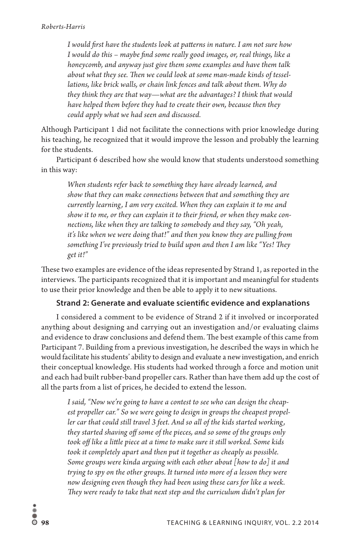*I would first have the students look at patterns in nature. I am not sure how I would do this – maybe find some really good images, or, real things, like a honeycomb, and anyway just give them some examples and have them talk about what they see. Then we could look at some man-made kinds of tessellations, like brick walls, or chain link fences and talk about them. Why do they think they are that way—what are the advantages? I think that would have helped them before they had to create their own, because then they could apply what we had seen and discussed.* 

Although Participant 1 did not facilitate the connections with prior knowledge during his teaching, he recognized that it would improve the lesson and probably the learning for the students.

Participant 6 described how she would know that students understood something in this way:

*When students refer back to something they have already learned, and show that they can make connections between that and something they are currently learning , I am very excited. When they can explain it to me and show it to me, or they can explain it to their friend, or when they make connections, like when they are talking to somebody and they say, "Oh yeah, it's like when we were doing that!" and then you know they are pulling from something I've previously tried to build upon and then I am like "Yes! They get it!"* 

These two examples are evidence of the ideas represented by Strand 1, as reported in the interviews. The participants recognized that it is important and meaningful for students to use their prior knowledge and then be able to apply it to new situations.

## **Strand 2: Generate and evaluate scientific evidence and explanations**

I considered a comment to be evidence of Strand 2 if it involved or incorporated anything about designing and carrying out an investigation and/or evaluating claims and evidence to draw conclusions and defend them. The best example of this came from Participant 7. Building from a previous investigation, he described the ways in which he would facilitate his students' ability to design and evaluate a new investigation, and enrich their conceptual knowledge. His students had worked through a force and motion unit and each had built rubber-band propeller cars. Rather than have them add up the cost of all the parts from a list of prices, he decided to extend the lesson.

*I said, "Now we're going to have a contest to see who can design the cheapest propeller car." So we were going to design in groups the cheapest propel*ler car that could still travel 3 feet. And so all of the kids started working, *they started shaving off some of the pieces, and so some of the groups only took off like a little piece at a time to make sure it still worked. Some kids took it completely apart and then put it together as cheaply as possible. Some groups were kinda arguing with each other about [how to do] it and trying to spy on the other groups. It turned into more of a lesson they were now designing even though they had been using these cars for like a week. They were ready to take that next step and the curriculum didn't plan for*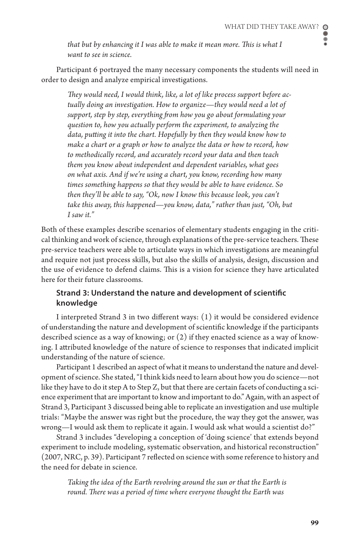$\bullet$ 

*that but by enhancing it I was able to make it mean more. This is what I want to see in science.* 

Participant 6 portrayed the many necessary components the students will need in order to design and analyze empirical investigations.

*They would need, I would think, like, a lot of like process support before actually doing an investigation. How to organize—they would need a lot of support, step by step, everything from how you go about formulating your question to, how you actually perform the experiment, to analyzing the data, putting it into the chart. Hopefully by then they would know how to make a chart or a graph or how to analyze the data or how to record, how to methodically record, and accurately record your data and then teach them you know about independent and dependent variables, what goes on what axis. And if we're using a chart, you know, recording how many times something happens so that they would be able to have evidence. So then they'll be able to say, "Ok, now I know this because look, you can't take this away, this happened—you know, data," rather than just, "Oh, but I saw it."* 

Both of these examples describe scenarios of elementary students engaging in the critical thinking and work of science, through explanations of the pre-service teachers. These pre-service teachers were able to articulate ways in which investigations are meaningful and require not just process skills, but also the skills of analysis, design, discussion and the use of evidence to defend claims. This is a vision for science they have articulated here for their future classrooms.

## **Strand 3: Understand the nature and development of scientific knowledge**

I interpreted Strand 3 in two different ways: (1) it would be considered evidence of understanding the nature and development of scientific knowledge if the participants described science as a way of knowing; or (2) if they enacted science as a way of knowing. I attributed knowledge of the nature of science to responses that indicated implicit understanding of the nature of science.

Participant 1 described an aspect of what it means to understand the nature and development of science. She stated, "I think kids need to learn about how you do science—not like they have to do it step A to Step Z, but that there are certain facets of conducting a science experiment that are important to know and important to do." Again, with an aspect of Strand 3, Participant 3 discussed being able to replicate an investigation and use multiple trials: "Maybe the answer was right but the procedure, the way they got the answer, was wrong—I would ask them to replicate it again. I would ask what would a scientist do?"

Strand 3 includes "developing a conception of 'doing science' that extends beyond experiment to include modeling, systematic observation, and historical reconstruction" (2007, NRC, p. 39). Participant 7 reflected on science with some reference to history and the need for debate in science.

*Taking the idea of the Earth revolving around the sun or that the Earth is round. There was a period of time where everyone thought the Earth was*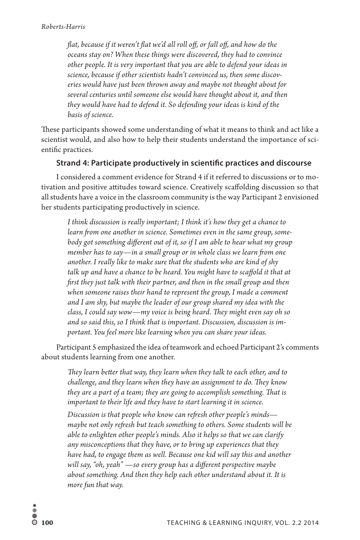*flat, because if it weren't flat we'd all roll off, or fall off, and how do the oceans stay on? When these things were discovered, they had to convince other people. It is very important that you are able to defend your ideas in science, because if other scientists hadn't convinced us, then some discoveries would have just been thrown away and maybe not thought about for several centuries until someone else would have thought about it, and then they would have had to defend it. So defending your ideas is kind of the basis of science.* 

These participants showed some understanding of what it means to think and act like a scientist would, and also how to help their students understand the importance of scientific practices.

## **Strand 4: Participate productively in scientific practices and discourse**

I considered a comment evidence for Strand 4 if it referred to discussions or to motivation and positive attitudes toward science. Creatively scaffolding discussion so that all students have a voice in the classroom community is the way Participant 2 envisioned her students participating productively in science.

*I think discussion is really important; I think it's how they get a chance to learn from one another in science. Sometimes even in the same group, somebody got something different out of it, so if I am able to hear what my group member has to say—in a small group or in whole class we learn from one another. I really like to make sure that the students who are kind of shy talk up and have a chance to be heard. You might have to scaffold it that at first they just talk with their partner, and then in the small group and then when someone raises their hand to represent the group, I made a comment and I am shy, but maybe the leader of our group shared my idea with the class, I could say wow—my voice is being heard. They might even say oh so and so said this, so I think that is important. Discussion, discussion is important. You feel more like learning when you can share your ideas.* 

Participant 5 emphasized the idea of teamwork and echoed Participant 2's comments about students learning from one another.

*They learn better that way, they learn when they talk to each other, and to challenge, and they learn when they have an assignment to do. They know they are a part of a team; they are going to accomplish something. That is important to their life and they have to start learning it in science.*

*Discussion is that people who know can refresh other people's minds maybe not only refresh but teach something to others. Some students will be able to enlighten other people's minds. Also it helps so that we can clarify any misconceptions that they have, or to bring up experiences that they have had, to engage them as well. Because one kid will say this and another will say, "oh, yeah" —so every group has a different perspective maybe about something. And then they help each other understand about it. It is more fun that way.*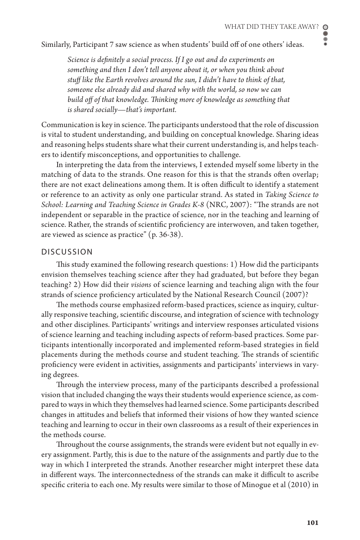۰ ě

Similarly, Participant 7 saw science as when students' build off of one others' ideas.

*Science is definitely a social process. If I go out and do experiments on something and then I don't tell anyone about it, or when you think about stuff like the Earth revolves around the sun, I didn't have to think of that, someone else already did and shared why with the world, so now we can build off of that knowledge. Thinking more of knowledge as something that is shared socially—that's important.* 

Communication is key in science. The participants understood that the role of discussion is vital to student understanding, and building on conceptual knowledge. Sharing ideas and reasoning helps students share what their current understanding is, and helps teachers to identify misconceptions, and opportunities to challenge.

In interpreting the data from the interviews, I extended myself some liberty in the matching of data to the strands. One reason for this is that the strands ofen overlap; there are not exact delineations among them. It is ofen difficult to identify a statement or reference to an activity as only one particular strand. As stated in *Taking Science to School: Learning and Teaching Science in Grades K-8* (NRC, 2007): "The strands are not independent or separable in the practice of science, nor in the teaching and learning of science. Rather, the strands of scientific proficiency are interwoven, and taken together, are viewed as science as practice" (p. 36-38).

#### DISCUSSION

This study examined the following research questions: 1) How did the participants envision themselves teaching science after they had graduated, but before they began teaching? 2) How did their *visions* of science learning and teaching align with the four strands of science proficiency articulated by the National Research Council (2007)?

The methods course emphasized reform-based practices, science as inquiry, culturally responsive teaching, scientific discourse, and integration of science with technology and other disciplines. Participants' writings and interview responses articulated visions of science learning and teaching including aspects of reform-based practices. Some participants intentionally incorporated and implemented reform-based strategies in field placements during the methods course and student teaching. The strands of scientific proficiency were evident in activities, assignments and participants' interviews in varying degrees.

Through the interview process, many of the participants described a professional vision that included changing the ways their students would experience science, as compared to ways in which they themselves had learned science. Some participants described changes in attitudes and beliefs that informed their visions of how they wanted science teaching and learning to occur in their own classrooms as a result of their experiences in the methods course.

Throughout the course assignments, the strands were evident but not equally in every assignment. Partly, this is due to the nature of the assignments and partly due to the way in which I interpreted the strands. Another researcher might interpret these data in different ways. The interconnectedness of the strands can make it difficult to ascribe specific criteria to each one. My results were similar to those of Minogue et al (2010) in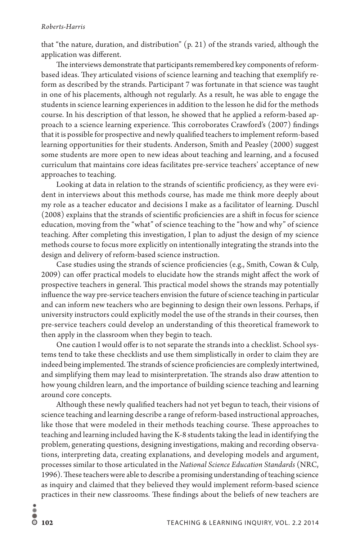that "the nature, duration, and distribution" (p. 21) of the strands varied, although the application was different.

The interviews demonstrate that participants remembered key components of reformbased ideas. They articulated visions of science learning and teaching that exemplify reform as described by the strands. Participant 7 was fortunate in that science was taught in one of his placements, although not regularly. As a result, he was able to engage the students in science learning experiences in addition to the lesson he did for the methods course. In his description of that lesson, he showed that he applied a reform-based approach to a science learning experience. This corroborates Crawford's (2007) findings that it is possible for prospective and newly qualified teachers to implement reform-based learning opportunities for their students. Anderson, Smith and Peasley (2000) suggest some students are more open to new ideas about teaching and learning, and a focused curriculum that maintains core ideas facilitates pre-service teachers' acceptance of new approaches to teaching.

Looking at data in relation to the strands of scientific proficiency, as they were evident in interviews about this methods course, has made me think more deeply about my role as a teacher educator and decisions I make as a facilitator of learning. Duschl (2008) explains that the strands of scientific proficiencies are a shift in focus for science education, moving from the "what" of science teaching to the "how and why" of science teaching. After completing this investigation, I plan to adjust the design of my science methods course to focus more explicitly on intentionally integrating the strands into the design and delivery of reform-based science instruction.

Case studies using the strands of science proficiencies (e.g., Smith, Cowan & Culp, 2009) can offer practical models to elucidate how the strands might affect the work of prospective teachers in general. This practical model shows the strands may potentially influence the way pre-service teachers envision the future of science teaching in particular and can inform new teachers who are beginning to design their own lessons. Perhaps, if university instructors could explicitly model the use of the strands in their courses, then pre-service teachers could develop an understanding of this theoretical framework to then apply in the classroom when they begin to teach.

One caution I would offer is to not separate the strands into a checklist. School systems tend to take these checklists and use them simplistically in order to claim they are indeed being implemented. The strands of science proficiencies are complexly intertwined, and simplifying them may lead to misinterpretation. The strands also draw attention to how young children learn, and the importance of building science teaching and learning around core concepts.

Although these newly qualified teachers had not yet begun to teach, their visions of science teaching and learning describe a range of reform-based instructional approaches, like those that were modeled in their methods teaching course. These approaches to teaching and learning included having the K-8 students taking the lead in identifying the problem, generating questions, designing investigations, making and recording observations, interpreting data, creating explanations, and developing models and argument, processes similar to those articulated in the *National Science Education Standards* (NRC, 1996). These teachers were able to describe a promising understanding of teaching science as inquiry and claimed that they believed they would implement reform-based science practices in their new classrooms. These findings about the beliefs of new teachers are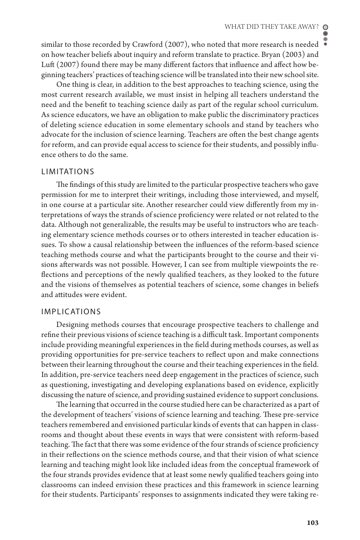similar to those recorded by Crawford (2007), who noted that more research is needed on how teacher beliefs about inquiry and reform translate to practice. Bryan (2003) and Luft (2007) found there may be many different factors that influence and affect how beginning teachers' practices of teaching science will be translated into their new school site.

One thing is clear, in addition to the best approaches to teaching science, using the most current research available, we must insist in helping all teachers understand the need and the benefit to teaching science daily as part of the regular school curriculum. As science educators, we have an obligation to make public the discriminatory practices of deleting science education in some elementary schools and stand by teachers who advocate for the inclusion of science learning. Teachers are ofen the best change agents for reform, and can provide equal access to science for their students, and possibly influence others to do the same.

#### **LIMITATIONS**

The findings of this study are limited to the particular prospective teachers who gave permission for me to interpret their writings, including those interviewed, and myself, in one course at a particular site. Another researcher could view differently from my interpretations of ways the strands of science proficiency were related or not related to the data. Although not generalizable, the results may be useful to instructors who are teaching elementary science methods courses or to others interested in teacher education issues. To show a causal relationship between the influences of the reform-based science teaching methods course and what the participants brought to the course and their visions afterwards was not possible. However, I can see from multiple viewpoints the reflections and perceptions of the newly qualified teachers, as they looked to the future and the visions of themselves as potential teachers of science, some changes in beliefs and attitudes were evident.

#### IMPLICATIONS

Designing methods courses that encourage prospective teachers to challenge and refine their previous visions of science teaching is a difficult task. Important components include providing meaningful experiences in the field during methods courses, as well as providing opportunities for pre-service teachers to reflect upon and make connections between their learning throughout the course and their teaching experiences in the field. In addition, pre-service teachers need deep engagement in the practices of science, such as questioning, investigating and developing explanations based on evidence, explicitly discussing the nature of science, and providing sustained evidence to support conclusions.

The learning that occurred in the course studied here can be characterized as a part of the development of teachers' visions of science learning and teaching. These pre-service teachers remembered and envisioned particular kinds of events that can happen in classrooms and thought about these events in ways that were consistent with reform-based teaching. The fact that there was some evidence of the four strands of science proficiency in their reflections on the science methods course, and that their vision of what science learning and teaching might look like included ideas from the conceptual framework of the four strands provides evidence that at least some newly qualified teachers going into classrooms can indeed envision these practices and this framework in science learning for their students. Participants' responses to assignments indicated they were taking re-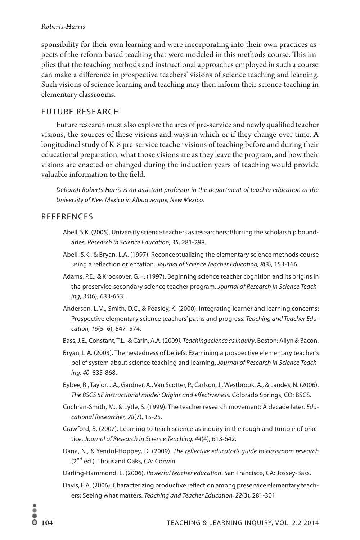sponsibility for their own learning and were incorporating into their own practices aspects of the reform-based teaching that were modeled in this methods course. This implies that the teaching methods and instructional approaches employed in such a course can make a difference in prospective teachers' visions of science teaching and learning. Such visions of science learning and teaching may then inform their science teaching in elementary classrooms.

## FUTURE RESEARCH

Future research must also explore the area of pre-service and newly qualified teacher visions, the sources of these visions and ways in which or if they change over time. A longitudinal study of K-8 pre-service teacher visions of teaching before and during their educational preparation, what those visions are as they leave the program, and how their visions are enacted or changed during the induction years of teaching would provide valuable information to the field.

*Deborah Roberts-Harris is an assistant professor in the department of teacher education at the University of New Mexico in Albuquerque, New Mexico.*

## REFERENCES

- Abell, S.K. (2005). University science teachers as researchers: Blurring the scholarship boundaries. *Research in Science Education, 35*, 281-298.
- Abell, S.K., & Bryan, L.A. (1997). Reconceptualizing the elementary science methods course using a reflection orientation. *Journal of Science Teacher Education, 8*(3), 153-166.
- Adams, P.E., & Krockover, G.H. (1997). Beginning science teacher cognition and its origins in the preservice secondary science teacher program. *Journal of Research in Science Teaching*, *34*(6), 633-653.
- Anderson, L.M., Smith, D.C., & Peasley, K. (2000). Integrating learner and learning concerns: Prospective elementary science teachers' paths and progress. *Teaching and Teacher Education, 16*(5–6), 547–574.
- Bass, J.E., Constant, T.L., & Carin, A.A. (2009*). Teaching science as inquiry*. Boston: Allyn & Bacon.
- Bryan, L.A. (2003). The nestedness of beliefs: Examining a prospective elementary teacher's belief system about science teaching and learning. *Journal of Research in Science Teaching, 40*, 835-868.
- Bybee, R., Taylor, J.A., Gardner, A., Van Scotter, P., Carlson, J., Westbrook, A., & Landes, N. (2006). *The BSCS 5E instructional model: Origins and effectiveness.* Colorado Springs, CO: BSCS.
- Cochran-Smith, M., & Lytle, S. (1999). The teacher research movement: A decade later. *Educational Researcher, 28*(7), 15-25.
- Crawford, B. (2007). Learning to teach science as inquiry in the rough and tumble of practice. *Journal of Research in Science Teaching, 44*(4), 613-642.
- Dana, N., & Yendol-Hoppey, D. (2009). *The reflective educator's guide to classroom research* (2<sup>nd</sup> ed.). Thousand Oaks, CA: Corwin.
- Darling-Hammond, L. (2006). *Powerful teacher education*. San Francisco, CA: Jossey-Bass.
- Davis, E.A. (2006). Characterizing productive reflection among preservice elementary teachers: Seeing what matters. *Teaching and Teacher Education, 22*(3)*,* 281-301.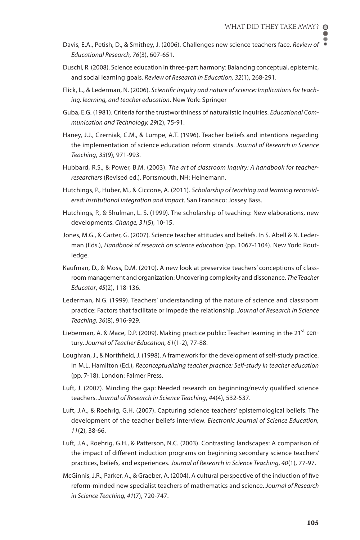- Davis, E.A., Petish, D., & Smithey, J. (2006). Challenges new science teachers face. *Review of Educational Research, 76*(3), 607-651.
- Duschl, R. (2008). Science education in three-part harmony: Balancing conceptual, epistemic, and social learning goals. *Review of Research in Education, 32*(1), 268-291.
- Flick, L., & Lederman, N. (2006). *Scientific inquiry and nature of science: Implications for teaching, learning, and teacher education*. New York: Springer
- Guba, E.G. (1981). Criteria for the trustworthiness of naturalistic inquiries. *Educational Communication and Technology, 29*(2), 75-91.
- Haney, J.J., Czerniak, C.M., & Lumpe, A.T. (1996). Teacher beliefs and intentions regarding the implementation of science education reform strands. *Journal of Research in Science Teaching*, *33*(9), 971-993.
- Hubbard, R.S., & Power, B.M. (2003). *The art of classroom inquiry: A handbook for teacherresearchers* (Revised ed.). Portsmouth, NH: Heinemann.
- Hutchings, P., Huber, M., & Ciccone, A. (2011). *Scholarship of teaching and learning reconsidered: Institutional integration and impact*. San Francisco: Jossey Bass.
- Hutchings, P., & Shulman, L. S. (1999). The scholarship of teaching: New elaborations, new developments. *Change, 31*(5), 10-15.
- Jones, M.G., & Carter, G. (2007). Science teacher attitudes and beliefs. In S. Abell & N. Lederman (Eds.), *Handbook of research on science education* (pp. 1067-1104). New York: Routledge.
- Kaufman, D., & Moss, D.M. (2010). A new look at preservice teachers' conceptions of classroom management and organization: Uncovering complexity and dissonance. *The Teacher Educator*, *45*(2), 118-136.
- Lederman, N.G. (1999). Teachers' understanding of the nature of science and classroom practice: Factors that facilitate or impede the relationship. *Journal of Research in Science Teaching, 36*(8), 916-929.
- Lieberman, A. & Mace, D.P. (2009). Making practice public: Teacher learning in the 21<sup>st</sup> century. *Journal of Teacher Education, 61*(1-2), 77-88.
- Loughran, J., & Northfield, J. (1998). A framework for the development of self-study practice. In M.L. Hamilton (Ed.), *Reconceptualizing teacher practice: Self-study in teacher education*  (pp. 7-18). London: Falmer Press.
- Luft, J. (2007). Minding the gap: Needed research on beginning/newly qualified science teachers. *Journal of Research in Science Teaching*, *44*(4), 532-537.
- Luft, J.A., & Roehrig, G.H. (2007). Capturing science teachers' epistemological beliefs: The development of the teacher beliefs interview. *Electronic Journal of Science Education, 11*(2), 38-66.
- Luft, J.A., Roehrig, G.H., & Patterson, N.C. (2003). Contrasting landscapes: A comparison of the impact of different induction programs on beginning secondary science teachers' practices, beliefs, and experiences. *Journal of Research in Science Teaching*, *40*(1), 77-97.
- McGinnis, J.R., Parker, A., & Graeber, A. (2004). A cultural perspective of the induction of five reform-minded new specialist teachers of mathematics and science. *Journal of Research in Science Teaching, 41*(7), 720-747.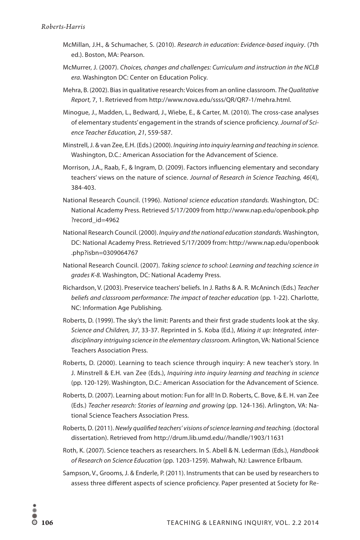- McMillan, J.H., & Schumacher, S. (2010). *Research in education: Evidence-based inquiry*. (7th ed.). Boston, MA: Pearson.
- McMurrer, J. (2007). *Choices, changes and challenges: Curriculum and instruction in the NCLB era*. Washington DC: Center on Education Policy.
- Mehra, B. (2002). Bias in qualitative research: Voices from an online classroom. *The Qualitative Report,* 7, 1. Retrieved from http://www.nova.edu/ssss/QR/QR7-1/mehra.html.
- Minogue, J., Madden, L., Bedward, J., Wiebe, E., & Carter, M. (2010). The cross-case analyses of elementary students' engagement in the strands of science proficiency. *Journal of Science Teacher Education, 21*, 559-587.
- Minstrell, J. & van Zee, E.H. (Eds.) (2000). *Inquiring into inquiry learning and teaching in science.*  Washington, D.C.: American Association for the Advancement of Science.
- Morrison, J.A., Raab, F., & Ingram, D. (2009). Factors influencing elementary and secondary teachers' views on the nature of science. *Journal of Research in Science Teaching, 46*(4), 384-403.
- National Research Council. (1996). *National science education standards.* Washington, DC: National Academy Press. Retrieved 5/17/2009 from http://www.nap.edu/openbook.php ?record\_id=4962
- National Research Council. (2000). *Inquiry and the national education standards.* Washington, DC: National Academy Press. Retrieved 5/17/2009 from: http://www.nap.edu/openbook .php?isbn=0309064767
- National Research Council. (2007). *Taking science to school: Learning and teaching science in grades K-8.* Washington, DC: National Academy Press.
- Richardson, V. (2003). Preservice teachers' beliefs. In J. Raths & A. R. McAninch (Eds.) *Teacher beliefs and classroom performance: The impact of teacher education* (pp. 1-22). Charlotte, NC: Information Age Publishing.
- Roberts, D. (1999). The sky's the limit: Parents and their first grade students look at the sky. *Science and Children, 37*, 33-37. Reprinted in S. Koba (Ed.), *Mixing it up: Integrated, interdisciplinary intriguing science in the elementary classroom.* Arlington, VA: National Science Teachers Association Press.
- Roberts, D. (2000). Learning to teach science through inquiry: A new teacher's story. In J. Minstrell & E.H. van Zee (Eds.), *Inquiring into inquiry learning and teaching in science*  (pp. 120-129). Washington, D.C.: American Association for the Advancement of Science.
- Roberts, D. (2007). Learning about motion: Fun for all! In D. Roberts, C. Bove, & E. H. van Zee (Eds.) *Teacher research: Stories of learning and growing* (pp. 124-136). Arlington, VA: National Science Teachers Association Press.
- Roberts, D. (2011). *Newly qualified teachers' visions of science learning and teaching.* (doctoral dissertation). Retrieved from http://drum.lib.umd.edu//handle/1903/11631
- Roth, K. (2007). Science teachers as researchers. In S. Abell & N. Lederman (Eds.), *Handbook of Research on Science Education* (pp. 1203-1259). Mahwah, NJ: Lawrence Erlbaum.
- Sampson, V., Grooms, J. & Enderle, P. (2011). Instruments that can be used by researchers to assess three different aspects of science proficiency. Paper presented at Society for Re-